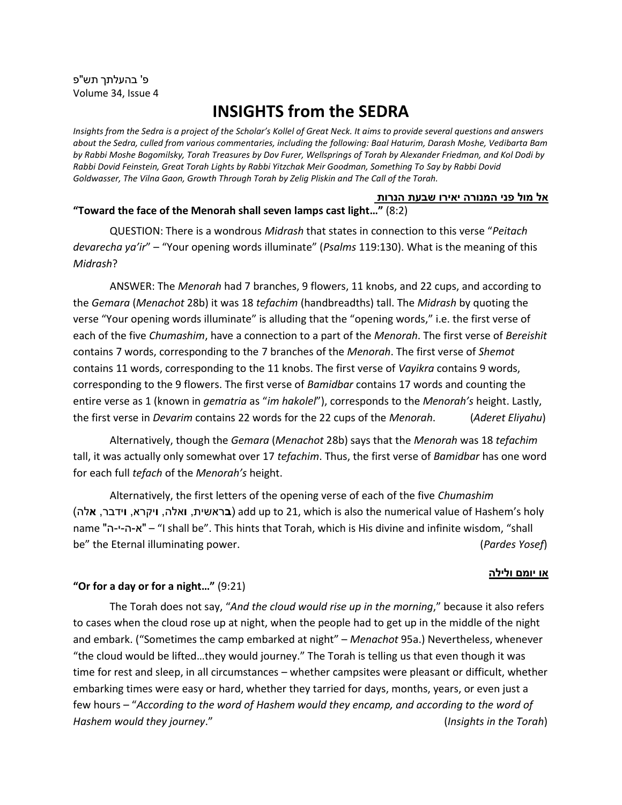פ' בהעלתך תש"פ Volume 34, Issue 4

# **INSIGHTS from the SEDRA**

*Insights from the Sedra is a project of the Scholar's Kollel of Great Neck. It aims to provide several questions and answers about the Sedra, culled from various commentaries, including the following: Baal Haturim, Darash Moshe, Vedibarta Bam by Rabbi Moshe Bogomilsky, Torah Treasures by Dov Furer, Wellsprings of Torah by Alexander Friedman, and Kol Dodi by Rabbi Dovid Feinstein, Great Torah Lights by Rabbi Yitzchak Meir Goodman, Something To Say by Rabbi Dovid Goldwasser, The Vilna Gaon, Growth Through Torah by Zelig Pliskin and The Call of the Torah.*

#### **אל מול פני המנורה יאירו שבעת הנרות "Toward the face of the Menorah shall seven lamps cast light…"** (8:2)

QUESTION: There is a wondrous *Midrash* that states in connection to this verse "*Peitach devarecha ya'ir*" – "Your opening words illuminate" (*Psalms* 119:130). What is the meaning of this *Midrash*?

ANSWER: The *Menorah* had 7 branches, 9 flowers, 11 knobs, and 22 cups, and according to the *Gemara* (*Menachot* 28b) it was 18 *tefachim* (handbreadths) tall. The *Midrash* by quoting the verse "Your opening words illuminate" is alluding that the "opening words," i.e. the first verse of each of the five *Chumashim*, have a connection to a part of the *Menorah*. The first verse of *Bereishit* contains 7 words, corresponding to the 7 branches of the *Menorah*. The first verse of *Shemot* contains 11 words, corresponding to the 11 knobs. The first verse of *Vayikra* contains 9 words, corresponding to the 9 flowers. The first verse of *Bamidbar* contains 17 words and counting the entire verse as 1 (known in *gematria* as "*im hakolel*"), corresponds to the *Menorah's* height. Lastly, the first verse in *Devarim* contains 22 words for the 22 cups of the *Menorah*. (*Aderet Eliyahu*)

Alternatively, though the *Gemara* (*Menachot* 28b) says that the *Menorah* was 18 *tefachim* tall, it was actually only somewhat over 17 *tefachim*. Thus, the first verse of *Bamidbar* has one word for each full *tefach* of the *Menorah's* height.

Alternatively, the first letters of the opening verse of each of the five *Chumashim* )**א**לה ,**ו**ידבר ,**ו**יקרא ,**ו**אלה ,**ב**ראשית )add up to 21, which is also the numerical value of Hashem's holy name "ה-י -ה-א" – "I shall be". This hints that Torah, which is His divine and infinite wisdom, "shall be" the Eternal illuminating power. (*Pardes Yosef*)

#### <u>או יומם ולילה</u>

### **"Or for a day or for a night…"** (9:21)

The Torah does not say, "*And the cloud would rise up in the morning*," because it also refers to cases when the cloud rose up at night, when the people had to get up in the middle of the night and embark. ("Sometimes the camp embarked at night" – *Menachot* 95a.) Nevertheless, whenever "the cloud would be lifted…they would journey." The Torah is telling us that even though it was time for rest and sleep, in all circumstances – whether campsites were pleasant or difficult, whether embarking times were easy or hard, whether they tarried for days, months, years, or even just a few hours – "*According to the word of Hashem would they encamp, and according to the word of Hashem would they journey*." (*Insights in the Torah*)